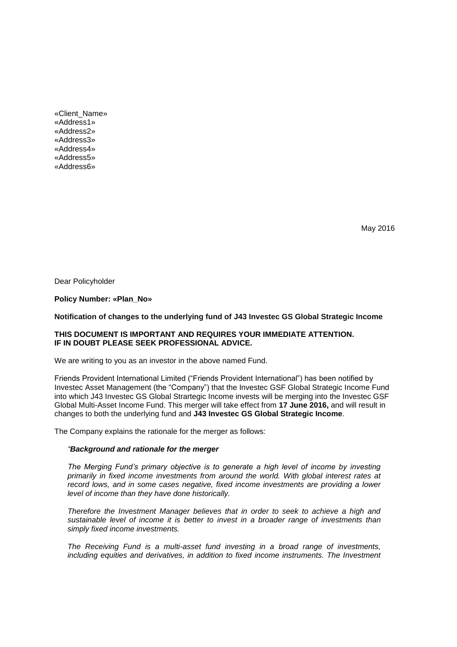«Client\_Name» «Address1» «Address2» «Address3» «Address4» «Address5» «Address6»

May 2016

Dear Policyholder

#### **Policy Number: «Plan\_No»**

#### **Notification of changes to the underlying fund of J43 Investec GS Global Strategic Income**

### **THIS DOCUMENT IS IMPORTANT AND REQUIRES YOUR IMMEDIATE ATTENTION. IF IN DOUBT PLEASE SEEK PROFESSIONAL ADVICE.**

We are writing to you as an investor in the above named Fund.

Friends Provident International Limited ("Friends Provident International") has been notified by Investec Asset Management (the "Company") that the Investec GSF Global Strategic Income Fund into which J43 Investec GS Global Strartegic Income invests will be merging into the Investec GSF Global Multi-Asset Income Fund. This merger will take effect from **17 June 2016,** and will result in changes to both the underlying fund and **J43 Investec GS Global Strategic Income**.

The Company explains the rationale for the merger as follows:

## *"Background and rationale for the merger*

*The Merging Fund's primary objective is to generate a high level of income by investing primarily in fixed income investments from around the world. With global interest rates at record lows, and in some cases negative, fixed income investments are providing a lower level of income than they have done historically.*

*Therefore the Investment Manager believes that in order to seek to achieve a high and sustainable level of income it is better to invest in a broader range of investments than simply fixed income investments.*

*The Receiving Fund is a multi-asset fund investing in a broad range of investments, including equities and derivatives, in addition to fixed income instruments. The Investment*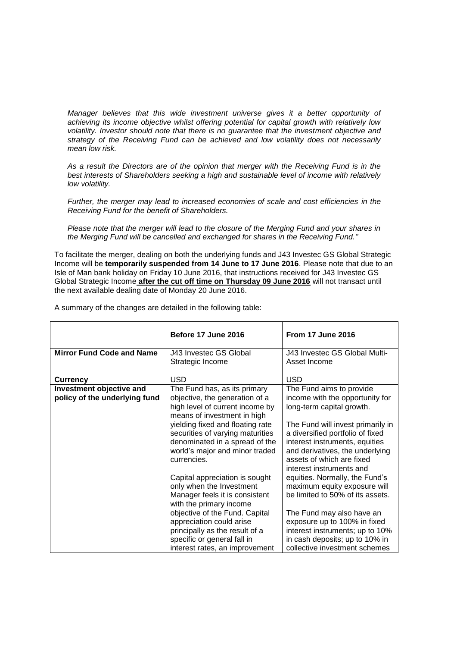*Manager believes that this wide investment universe gives it a better opportunity of achieving its income objective whilst offering potential for capital growth with relatively low volatility. Investor should note that there is no guarantee that the investment objective and strategy of the Receiving Fund can be achieved and low volatility does not necessarily mean low risk.*

*As a result the Directors are of the opinion that merger with the Receiving Fund is in the best interests of Shareholders seeking a high and sustainable level of income with relatively low volatility.*

*Further, the merger may lead to increased economies of scale and cost efficiencies in the Receiving Fund for the benefit of Shareholders.*

*Please note that the merger will lead to the closure of the Merging Fund and your shares in the Merging Fund will be cancelled and exchanged for shares in the Receiving Fund."*

To facilitate the merger, dealing on both the underlying funds and J43 Investec GS Global Strategic Income will be **temporarily suspended from 14 June to 17 June 2016**. Please note that due to an Isle of Man bank holiday on Friday 10 June 2016, that instructions received for J43 Investec GS Global Strategic Income **after the cut off time on Thursday 09 June 2016** will not transact until the next available dealing date of Monday 20 June 2016.

|                                                           | Before 17 June 2016                                                                                                                                                                                                                                                                                                                                                                                                                                                                                                    | <b>From 17 June 2016</b>                                                                                                                                                                                                                                                                                                                                                                                                                                                                              |
|-----------------------------------------------------------|------------------------------------------------------------------------------------------------------------------------------------------------------------------------------------------------------------------------------------------------------------------------------------------------------------------------------------------------------------------------------------------------------------------------------------------------------------------------------------------------------------------------|-------------------------------------------------------------------------------------------------------------------------------------------------------------------------------------------------------------------------------------------------------------------------------------------------------------------------------------------------------------------------------------------------------------------------------------------------------------------------------------------------------|
| <b>Mirror Fund Code and Name</b>                          | J43 Investec GS Global<br>Strategic Income                                                                                                                                                                                                                                                                                                                                                                                                                                                                             | J43 Investec GS Global Multi-<br>Asset Income                                                                                                                                                                                                                                                                                                                                                                                                                                                         |
| <b>Currency</b>                                           | <b>USD</b>                                                                                                                                                                                                                                                                                                                                                                                                                                                                                                             | <b>USD</b>                                                                                                                                                                                                                                                                                                                                                                                                                                                                                            |
| Investment objective and<br>policy of the underlying fund | The Fund has, as its primary<br>objective, the generation of a<br>high level of current income by<br>means of investment in high<br>yielding fixed and floating rate<br>securities of varying maturities<br>denominated in a spread of the<br>world's major and minor traded<br>currencies.<br>Capital appreciation is sought<br>only when the Investment<br>Manager feels it is consistent<br>with the primary income<br>objective of the Fund. Capital<br>appreciation could arise<br>principally as the result of a | The Fund aims to provide<br>income with the opportunity for<br>long-term capital growth.<br>The Fund will invest primarily in<br>a diversified portfolio of fixed<br>interest instruments, equities<br>and derivatives, the underlying<br>assets of which are fixed<br>interest instruments and<br>equities. Normally, the Fund's<br>maximum equity exposure will<br>be limited to 50% of its assets.<br>The Fund may also have an<br>exposure up to 100% in fixed<br>interest instruments; up to 10% |
|                                                           | specific or general fall in<br>interest rates, an improvement                                                                                                                                                                                                                                                                                                                                                                                                                                                          | in cash deposits; up to 10% in<br>collective investment schemes                                                                                                                                                                                                                                                                                                                                                                                                                                       |

A summary of the changes are detailed in the following table: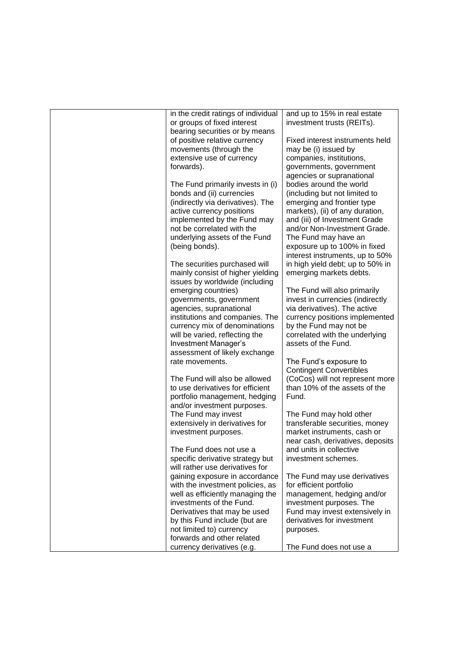| in the credit ratings of individual                   | and up to 15% in real estate                              |
|-------------------------------------------------------|-----------------------------------------------------------|
| or groups of fixed interest                           | investment trusts (REITs).                                |
| bearing securities or by means                        |                                                           |
| of positive relative currency                         | Fixed interest instruments held                           |
| movements (through the                                | may be (i) issued by                                      |
| extensive use of currency                             | companies, institutions,                                  |
| forwards).                                            | governments, government                                   |
| The Fund primarily invests in (i)                     | agencies or supranational<br>bodies around the world      |
| bonds and (ii) currencies                             | (including but not limited to                             |
| (indirectly via derivatives). The                     | emerging and frontier type                                |
| active currency positions                             | markets), (ii) of any duration,                           |
| implemented by the Fund may                           | and (iii) of Investment Grade                             |
| not be correlated with the                            | and/or Non-Investment Grade.                              |
| underlying assets of the Fund                         | The Fund may have an                                      |
| (being bonds).                                        | exposure up to 100% in fixed                              |
|                                                       | interest instruments, up to 50%                           |
| The securities purchased will                         | in high yield debt; up to 50% in                          |
| mainly consist of higher yielding                     | emerging markets debts.                                   |
| issues by worldwide (including                        |                                                           |
| emerging countries)                                   | The Fund will also primarily                              |
| governments, government                               | invest in currencies (indirectly                          |
| agencies, supranational                               | via derivatives). The active                              |
| institutions and companies. The                       | currency positions implemented                            |
| currency mix of denominations                         | by the Fund may not be                                    |
| will be varied, reflecting the                        | correlated with the underlying                            |
| Investment Manager's                                  | assets of the Fund.                                       |
| assessment of likely exchange                         |                                                           |
| rate movements.                                       | The Fund's exposure to                                    |
|                                                       | <b>Contingent Convertibles</b>                            |
| The Fund will also be allowed                         | (CoCos) will not represent more                           |
| to use derivatives for efficient                      | than 10% of the assets of the                             |
| portfolio management, hedging                         | Fund.                                                     |
| and/or investment purposes.                           |                                                           |
| The Fund may invest<br>extensively in derivatives for | The Fund may hold other<br>transferable securities, money |
| investment purposes.                                  | market instruments, cash or                               |
|                                                       | near cash, derivatives, deposits                          |
| The Fund does not use a                               | and units in collective                                   |
| specific derivative strategy but                      | investment schemes.                                       |
| will rather use derivatives for                       |                                                           |
| gaining exposure in accordance                        | The Fund may use derivatives                              |
| with the investment policies, as                      | for efficient portfolio                                   |
| well as efficiently managing the                      | management, hedging and/or                                |
| investments of the Fund.                              | investment purposes. The                                  |
| Derivatives that may be used                          | Fund may invest extensively in                            |
| by this Fund include (but are                         | derivatives for investment                                |
| not limited to) currency                              | purposes.                                                 |
| forwards and other related                            |                                                           |
| currency derivatives (e.g.                            | The Fund does not use a                                   |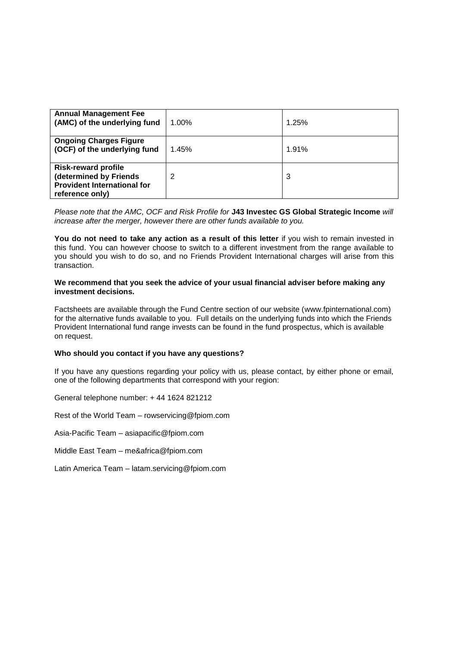| <b>Annual Management Fee</b><br>(AMC) of the underlying fund                                                  | 1.00% | 1.25% |
|---------------------------------------------------------------------------------------------------------------|-------|-------|
| <b>Ongoing Charges Figure</b><br>(OCF) of the underlying fund                                                 | 1.45% | 1.91% |
| <b>Risk-reward profile</b><br>(determined by Friends<br><b>Provident International for</b><br>reference only) | 2     | 3     |

*Please note that the AMC, OCF and Risk Profile for* **J43 Investec GS Global Strategic Income** *will increase after the merger, however there are other funds available to you.* 

**You do not need to take any action as a result of this letter** if you wish to remain invested in this fund. You can however choose to switch to a different investment from the range available to you should you wish to do so, and no Friends Provident International charges will arise from this transaction.

### **We recommend that you seek the advice of your usual financial adviser before making any investment decisions.**

Factsheets are available through the Fund Centre section of our website (www.fpinternational.com) for the alternative funds available to you. Full details on the underlying funds into which the Friends Provident International fund range invests can be found in the fund prospectus, which is available on request.

# **Who should you contact if you have any questions?**

If you have any questions regarding your policy with us, please contact, by either phone or email, one of the following departments that correspond with your region:

General telephone number: + 44 1624 821212

Rest of the World Team – rowservicing@fpiom.com

Asia-Pacific Team – asiapacific@fpiom.com

Middle East Team – me&africa@fpiom.com

Latin America Team – latam.servicing@fpiom.com